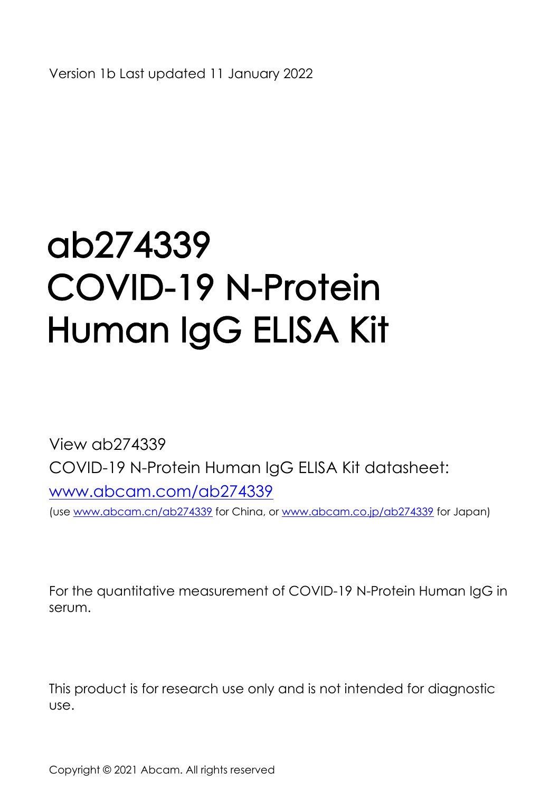# ab274339 COVID-19 N-Protein Human IgG ELISA Kit

View ab274339 COVID-19 N-Protein Human IgG ELISA Kitdatasheet: [www.abcam.com/ab274339](http://www.abcam.com/ab274339) (use [www.abcam.cn/ab274339](http://www.abcam.cn/ab274339) for China, or [www.abcam.co.jp/ab274339](http://www.abcam.co.jp/ab274339) for Japan)

For the quantitative measurement of COVID-19 N-Protein Human IgG in serum.

Thisproduct is for research use only and is not intended for diagnostic use.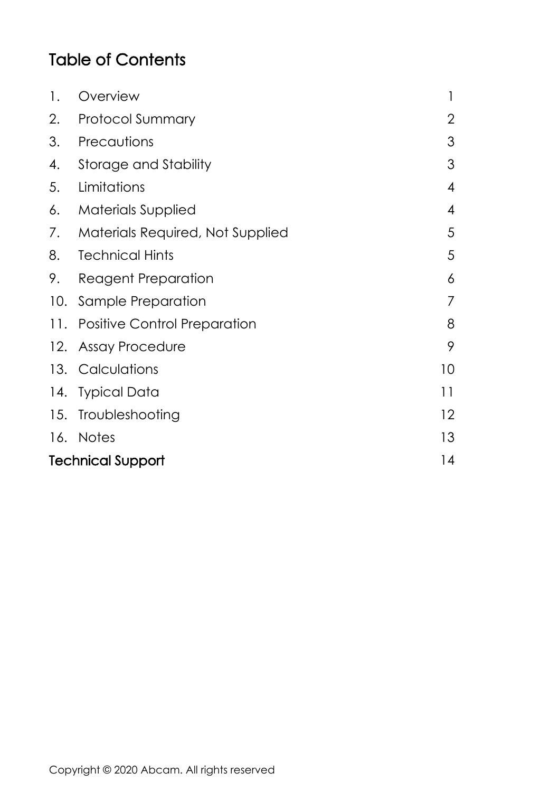## Table of Contents

| 1.                       | Overview                            | 1              |
|--------------------------|-------------------------------------|----------------|
| 2.                       | <b>Protocol Summary</b>             | 2              |
| 3.                       | Precautions                         | 3              |
| 4.                       | Storage and Stability               | 3              |
| 5.                       | Limitations                         | 4              |
| 6.                       | <b>Materials Supplied</b>           | 4              |
|                          | 7. Materials Required, Not Supplied | 5              |
| 8.                       | Technical Hints                     | 5              |
| 9.                       | Reagent Preparation                 | 6              |
|                          | 10. Sample Preparation              | $\overline{7}$ |
|                          | 11. Positive Control Preparation    |                |
|                          | 12. Assay Procedure                 | 9              |
|                          | 13. Calculations                    | 10             |
|                          | 14. Typical Data                    | 11             |
|                          | 15. Troubleshooting                 | 12             |
|                          | 16. Notes                           | 13             |
| <b>Technical Support</b> |                                     |                |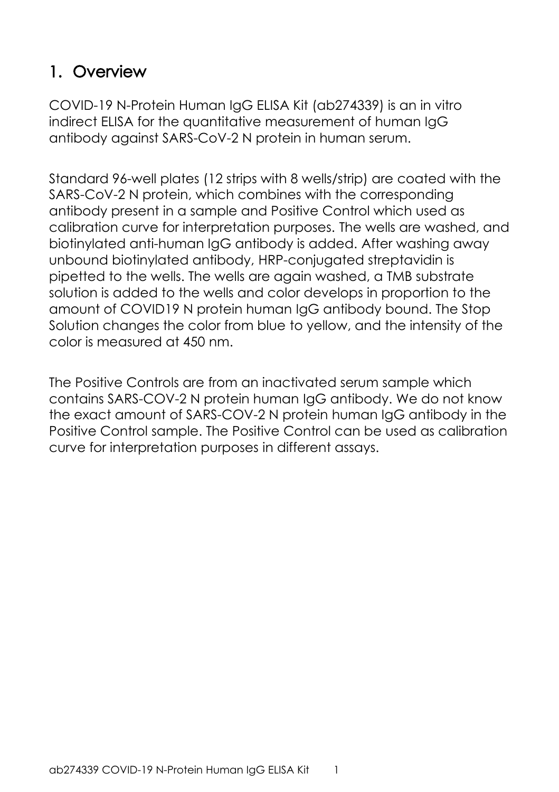# <span id="page-2-0"></span>**1. Overview**

COVID-19 N-Protein Human IgG ELISA Kit (ab274339) is an in vitro indirect ELISA for the quantitative measurement of human IgG antibody against SARS-CoV-2 N protein in human serum.

Standard 96-well plates (12 strips with 8 wells/strip) are coated with the SARS-CoV-2 N protein, which combines with the corresponding antibody present in a sample and Positive Control which used as calibration curve for interpretation purposes. The wells are washed, and biotinylated anti-human IgG antibody is added. After washing away unbound biotinylated antibody, HRP-conjugated streptavidin is pipetted to the wells. The wells are again washed, a TMB substrate solution is added to the wells and color develops in proportion to the amount of COVID19 N protein human IgG antibody bound. The Stop Solution changes the color from blue to yellow, and the intensity of the color is measured at 450 nm.

The Positive Controls are from an inactivated serum sample which contains SARS-COV-2 N protein human IgG antibody. We do not know the exact amount of SARS-COV-2 N protein human IgG antibody in the Positive Control sample. The Positive Control can be used as calibration curve for interpretation purposes in different assays.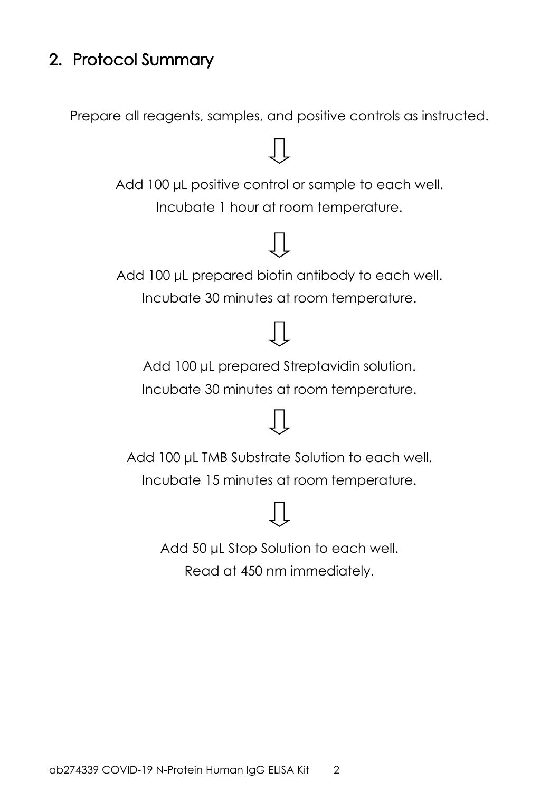## <span id="page-3-0"></span>**2. Protocol Summary**

Prepare all reagents, samples, and positive controls as instructed.



Add 50 μL Stop Solution to each well. Read at 450 nm immediately.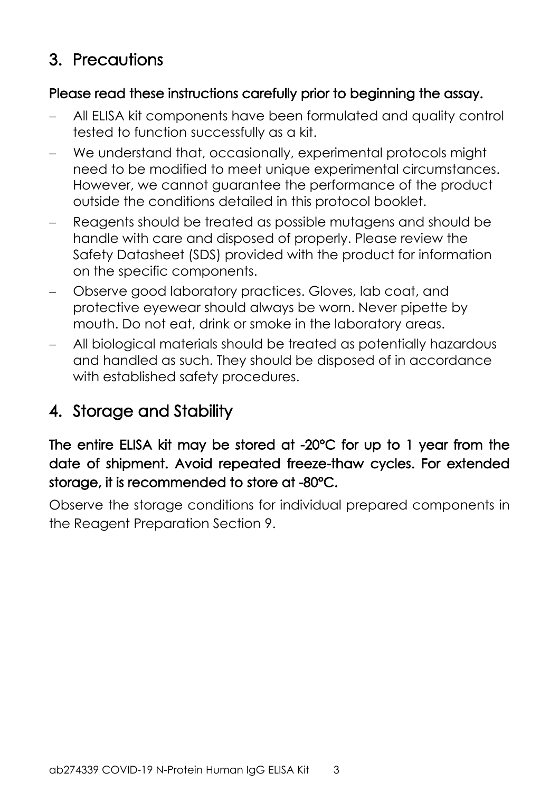## <span id="page-4-0"></span>**3. Precautions**

#### **Please read these instructions carefully prior to beginning the assay.**

- All ELISA kit components have been formulated and quality control tested to function successfully as a kit.
- We understand that, occasionally, experimental protocols might need to be modified to meet unique experimental circumstances. However, we cannot guarantee the performance of the product outside the conditions detailed in this protocol booklet.
- Reagents should be treated as possible mutagens and should be handle with care and disposed of properly. Please review the Safety Datasheet (SDS) provided with the product for information on the specific components.
- Observe good laboratory practices. Gloves, lab coat, and protective eyewear should always be worn. Never pipette by mouth. Do not eat, drink or smoke in the laboratory areas.
- All biological materials should be treated as potentially hazardous and handled as such. They should be disposed of in accordance with established safety procedures.

# <span id="page-4-1"></span>**4. Storage and Stability**

### **The entire ELISA kit may be stored at -20°C for up to 1 year from the date of shipment. Avoid repeated freeze-thaw cycles. For extended storage, it is recommended to store at -80°C.**

Observe the storage conditions for individual prepared components in the Reagent Preparation Section 9.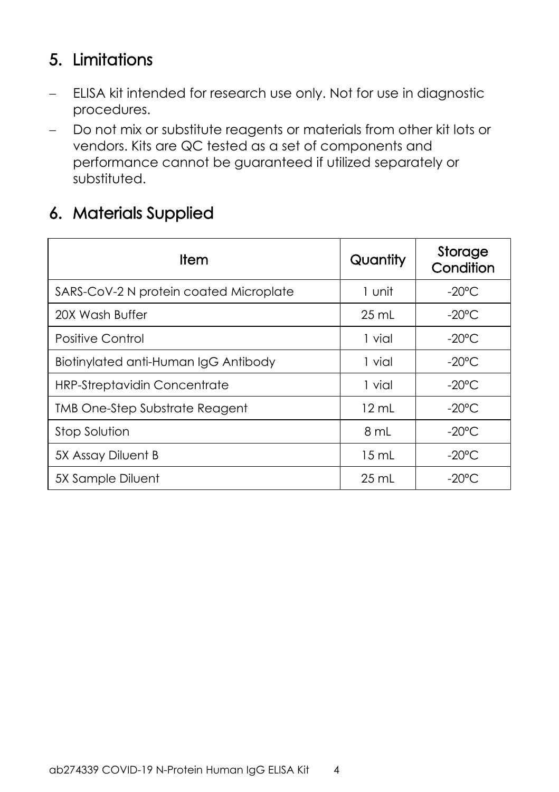## <span id="page-5-0"></span>**5. Limitations**

- ELISA kit intended for research use only. Not for use in diagnostic procedures.
- Do not mix or substitute reagents or materials from other kit lots or vendors. Kits are QC tested as a set of components and performance cannot be guaranteed if utilized separately or substituted.

## <span id="page-5-1"></span>**6. Materials Supplied**

| Item                                   | Quantity        | Storage<br>Condition |
|----------------------------------------|-----------------|----------------------|
| SARS-CoV-2 N protein coated Microplate | 1 unit          | $-20^{\circ}$ C      |
| 20X Wash Buffer                        | $25$ mL         | $-20^{\circ}$ C      |
| Positive Control                       | 1 vial          | $-20^{\circ}$ C      |
| Biotinylated anti-Human IgG Antibody   | 1 vial          | $-20^{\circ}$ C      |
| <b>HRP-Streptavidin Concentrate</b>    | 1 vial          | $-20^{\circ}$ C      |
| <b>TMB One-Step Substrate Reagent</b>  | $12 \text{ mL}$ | $-20^{\circ}$ C      |
| Stop Solution                          | 8 mL            | $-20^{\circ}$ C      |
| 5X Assay Diluent B                     | 15 mL           | $-20^{\circ}$ C      |
| 5X Sample Diluent                      | $25 \text{ mL}$ | -20°C                |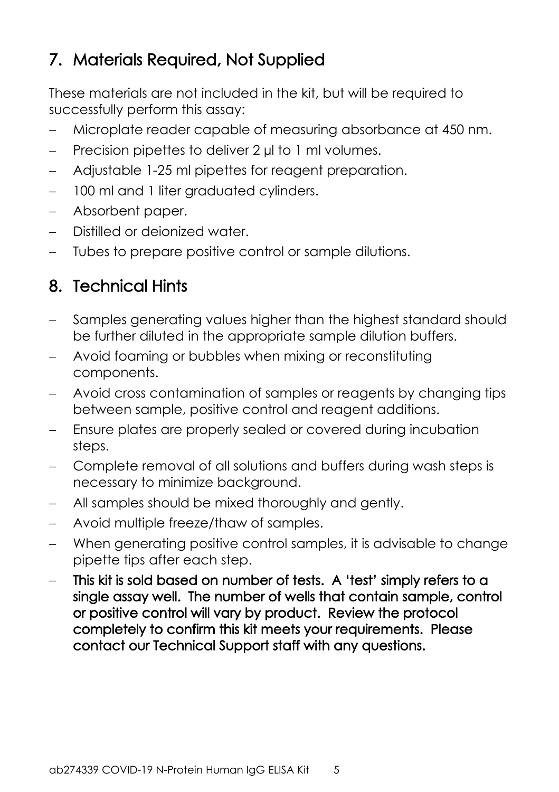## <span id="page-6-0"></span>**7. Materials Required, Not Supplied**

These materials are not included in the kit, but will be required to successfully perform this assay:

- Microplate reader capable of measuring absorbance at 450 nm.
- Precision pipettes to deliver 2 ul to 1 ml volumes.
- Adjustable 1-25 ml pipettes for reagent preparation.
- 100 ml and 1 liter graduated cylinders.
- Absorbent paper.
- Distilled or deionized water.
- Tubes to prepare positive control or sample dilutions.

## <span id="page-6-1"></span>**8. Technical Hints**

- Samples generating values higher than the highest standard should be further diluted in the appropriate sample dilution buffers.
- Avoid foaming or bubbles when mixing or reconstituting components.
- Avoid cross contamination of samples or reagents by changing tips between sample, positive control and reagent additions.
- Ensure plates are properly sealed or covered during incubation steps.
- Complete removal of all solutions and buffers during wash steps is necessary to minimize background.
- All samples should be mixed thoroughly and gently.
- Avoid multiple freeze/thaw of samples.
- When generating positive control samples, it is advisable to change pipette tips after each step.
- **This kit is sold based on number of tests. A 'test' simply refers to a single assay well. The number of wells that contain sample, control or positive control will vary by product. Review the protocol completely to confirm this kit meets your requirements. Please contact our Technical Support staff with any questions.**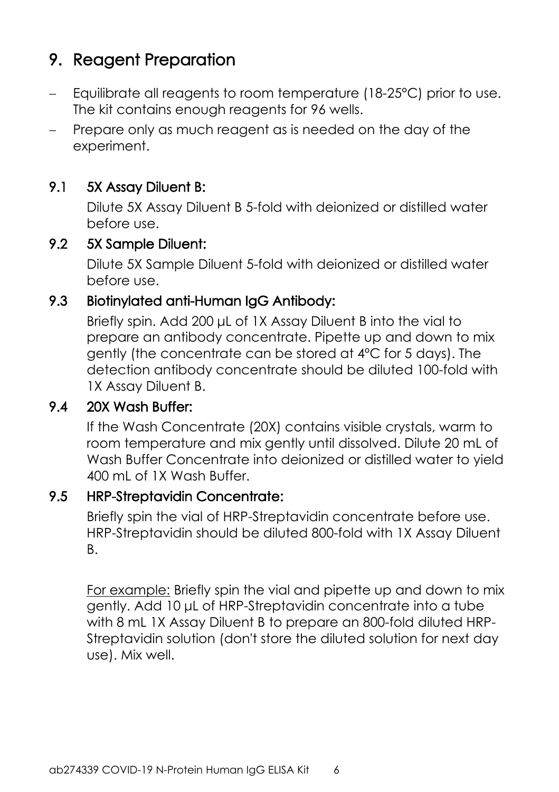## <span id="page-7-0"></span>**9. Reagent Preparation**

- $-$  Equilibrate all reagents to room temperature (18-25 $^{\circ}$ C) prior to use. The kit contains enough reagents for 96 wells.
- Prepare only as much reagent as is needed on the day of the experiment.

#### **9.1 5X Assay Diluent B:**

Dilute 5X Assay Diluent B 5-fold with deionized or distilled water before use.

#### **9.2 5X Sample Diluent:**

Dilute 5X Sample Diluent 5-fold with deionized or distilled water before use.

#### **9.3 Biotinylated anti-Human IgG Antibody:**

Briefly spin. Add 200 μL of 1X Assay Diluent B into the vial to prepare an antibody concentrate. Pipette up and down to mix gently (the concentrate can be stored at 4ºC for 5 days). The detection antibody concentrate should be diluted 100-fold with 1X Assay Diluent B.

#### **9.4 20X Wash Buffer:**

If the Wash Concentrate (20X) contains visible crystals, warm to room temperature and mix gently until dissolved. Dilute 20 mL of Wash Buffer Concentrate into deionized or distilled water to yield 400 mL of 1X Wash Buffer.

#### **9.5 HRP-Streptavidin Concentrate:**

Briefly spin the vial of HRP-Streptavidin concentrate before use. HRP-Streptavidin should be diluted 800-fold with 1X Assay Diluent B.

For example: Briefly spin the vial and pipette up and down to mix gently. Add 10 μL of HRP-Streptavidin concentrate into a tube with 8 mL 1X Assay Diluent B to prepare an 800-fold diluted HRP-Streptavidin solution (don't store the diluted solution for next day use). Mix well.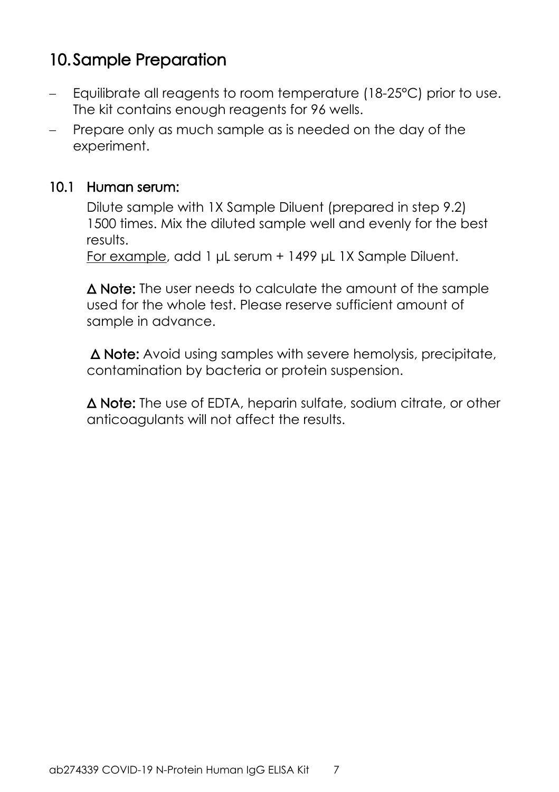## <span id="page-8-0"></span>**10.Sample Preparation**

- Equilibrate all reagents to room temperature (18-25°C) prior to use. The kit contains enough reagents for 96 wells.
- Prepare only as much sample as is needed on the day of the experiment.

#### **10.1 Human serum:**

Dilute sample with 1X Sample Diluent (prepared in step 9.2) 1500 times. Mix the diluted sample well and evenly for the best results.

For example, add 1 μL serum + 1499 μL 1X Sample Diluent.

**Δ Note:** The user needs to calculate the amount of the sample used for the whole test. Please reserve sufficient amount of sample in advance.

**Δ Note:** Avoid using samples with severe hemolysis, precipitate, contamination by bacteria or protein suspension.

**Δ Note:** The use of EDTA, heparin sulfate, sodium citrate, or other anticoagulants will not affect the results.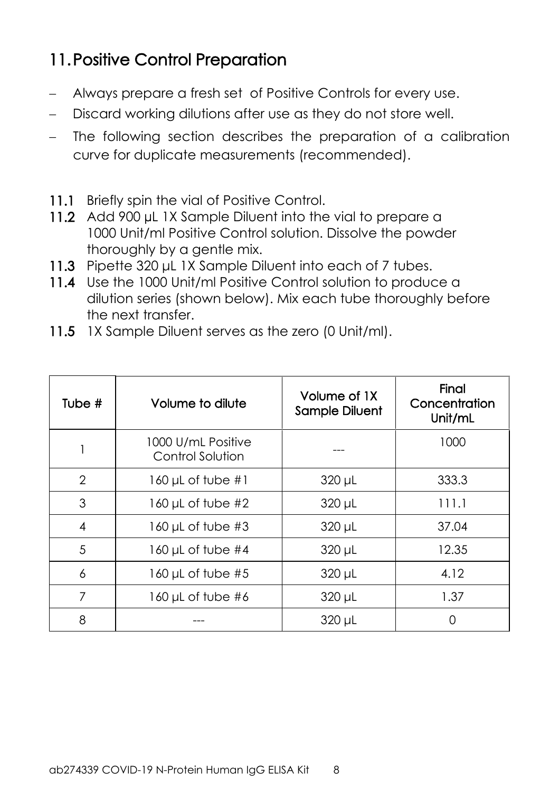## <span id="page-9-0"></span>**11.Positive Control Preparation**

- Always prepare a fresh set of Positive Controls for every use.
- Discard working dilutions after use as they do not store well.
- The following section describes the preparation of a calibration curve for duplicate measurements (recommended).
- **11.1** Briefly spin the vial of Positive Control.
- **11.2** Add 900 µL 1X Sample Diluent into the vial to prepare a 1000 Unit/ml Positive Control solution. Dissolve the powder thoroughly by a gentle mix.
- **11.3** Pipette 320 μL 1X Sample Diluent into each of 7 tubes.
- **11.4** Use the 1000 Unit/ml Positive Control solution to produce a dilution series (shown below). Mix each tube thoroughly before the next transfer.
- **11.5** 1X Sample Diluent serves as the zero (0 Unit/ml).

| Tube $#$       | Volume to dilute                       | Volume of 1X<br>Sample Diluent | Final<br>Concentration<br>Unit/mL |
|----------------|----------------------------------------|--------------------------------|-----------------------------------|
|                | 1000 U/mL Positive<br>Control Solution |                                | 1000                              |
| $\overline{2}$ | 160 µL of tube $#1$                    | $320 \mu L$                    | 333.3                             |
| 3              | 160 $\mu$ L of tube #2                 | $320 \mu L$                    | 111.1                             |
| 4              | $160 \mu L$ of tube #3                 | $320 \mu L$                    | 37.04                             |
| 5              | 160 µL of tube $#4$                    | $320 \mu L$                    | 12.35                             |
| 6              | $160 \mu L$ of tube #5                 | 320 µL                         | 4.12                              |
| 7              | $160$ µL of tube #6                    | 320 µL                         | 1.37                              |
| 8              |                                        | $320 \mu L$                    | Ω                                 |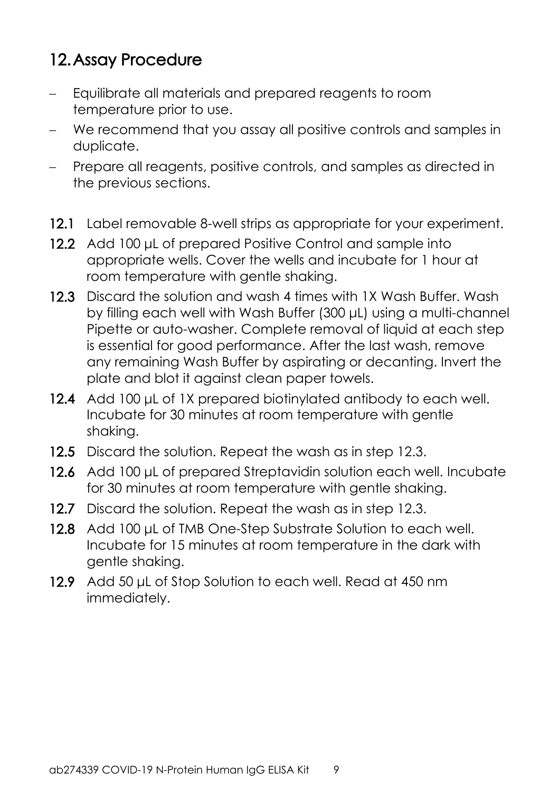## <span id="page-10-0"></span>**12.Assay Procedure**

- Equilibrate all materials and prepared reagents to room temperature prior to use.
- We recommend that you assay all positive controls and samples in duplicate.
- Prepare all reagents, positive controls, and samples as directed in the previous sections.
- **12.1** Label removable 8-well strips as appropriate for your experiment.
- **12.2** Add 100 μL of prepared Positive Control and sample into appropriate wells. Cover the wells and incubate for 1 hour at room temperature with gentle shaking.
- **12.3** Discard the solution and wash 4 times with 1X Wash Buffer. Wash by filling each well with Wash Buffer (300 μL) using a multi-channel Pipette or auto-washer. Complete removal of liquid at each step is essential for good performance. After the last wash, remove any remaining Wash Buffer by aspirating or decanting. Invert the plate and blot it against clean paper towels.
- **12.4** Add 100 μL of 1X prepared biotinylated antibody to each well. Incubate for 30 minutes at room temperature with gentle shaking.
- **12.5** Discard the solution. Repeat the wash as in step 12.3.
- **12.6** Add 100 μL of prepared Streptavidin solution each well. Incubate for 30 minutes at room temperature with gentle shaking.
- **12.7** Discard the solution. Repeat the wash as in step 12.3.
- **12.8** Add 100 μL of TMB One-Step Substrate Solution to each well. Incubate for 15 minutes at room temperature in the dark with gentle shaking.
- **12.9** Add 50 μL of Stop Solution to each well. Read at 450 nm immediately.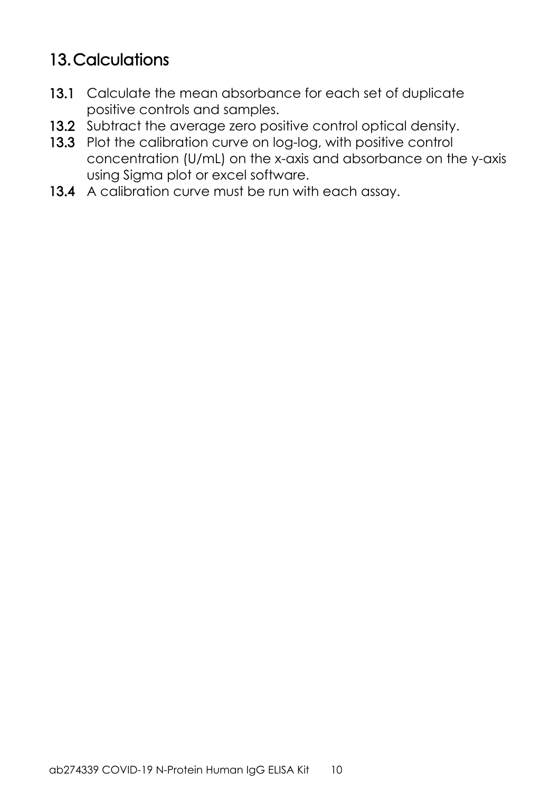## <span id="page-11-0"></span>**13.Calculations**

- **13.1** Calculate the mean absorbance for each set of duplicate positive controls and samples.
- **13.2** Subtract the average zero positive control optical density.
- **13.3** Plot the calibration curve on log-log, with positive control concentration (U/mL) on the x-axis and absorbance on the y-axis using Sigma plot or excel software.
- **13.4** A calibration curve must be run with each assay.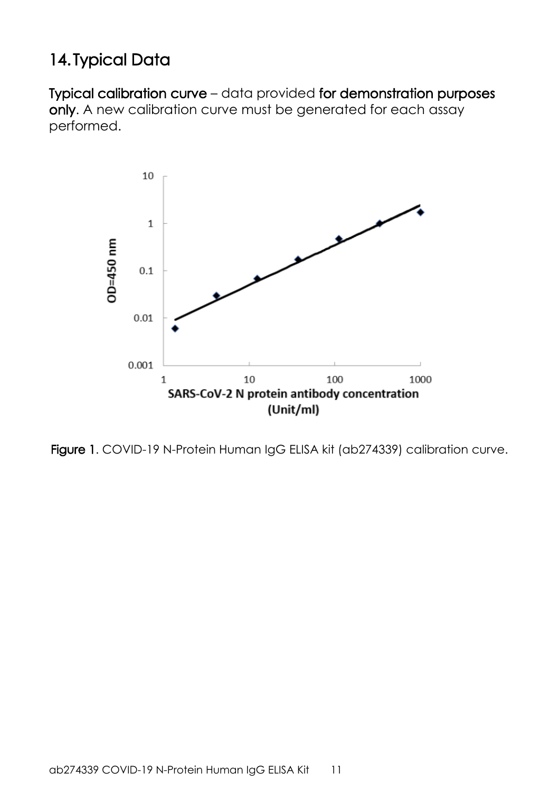## <span id="page-12-0"></span>**14. Typical Data**

**Typical calibration curve** – data provided **for demonstration purposes only**. A new calibration curve must be generated for each assay performed.



**Figure 1**. COVID-19 N-Protein Human IgG ELISA kit (ab274339) calibration curve.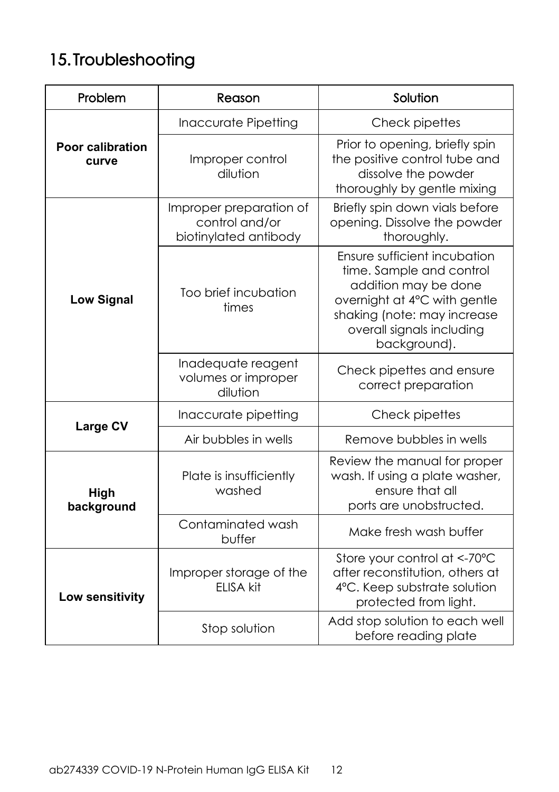# <span id="page-13-0"></span>**15. Troubleshooting**

| Problem                   | Reason                                                             | Solution                                                                                                                                                                                     |
|---------------------------|--------------------------------------------------------------------|----------------------------------------------------------------------------------------------------------------------------------------------------------------------------------------------|
|                           | Inaccurate Pipetting                                               | Check pipettes                                                                                                                                                                               |
| Poor calibration<br>curve | Improper control<br>dilution                                       | Prior to opening, briefly spin<br>the positive control tube and<br>dissolve the powder<br>thoroughly by gentle mixing                                                                        |
|                           | Improper preparation of<br>control and/or<br>biotinylated antibody | Briefly spin down vials before<br>opening. Dissolve the powder<br>thoroughly.                                                                                                                |
| <b>Low Signal</b>         | Too brief incubation<br>times                                      | Ensure sufficient incubation<br>time. Sample and control<br>addition may be done<br>overnight at 4°C with gentle<br>shaking (note: may increase<br>overall signals including<br>background). |
|                           | Inadequate reagent<br>volumes or improper<br>dilution              | Check pipettes and ensure<br>correct preparation                                                                                                                                             |
| Large CV                  | Inaccurate pipetting                                               | Check pipettes                                                                                                                                                                               |
|                           | Air bubbles in wells                                               | Remove bubbles in wells                                                                                                                                                                      |
| High<br>background        | Plate is insufficiently<br>washed                                  | Review the manual for proper<br>wash. If using a plate washer,<br>ensure that all<br>ports are unobstructed.                                                                                 |
|                           | Contaminated wash<br>buffer                                        | Make fresh wash buffer                                                                                                                                                                       |
| Low sensitivity           | Improper storage of the<br>ELISA kit                               | Store your control at <-70°C<br>after reconstitution, others at<br>4°C. Keep substrate solution<br>protected from light.                                                                     |
|                           | Stop solution                                                      | Add stop solution to each well<br>before reading plate                                                                                                                                       |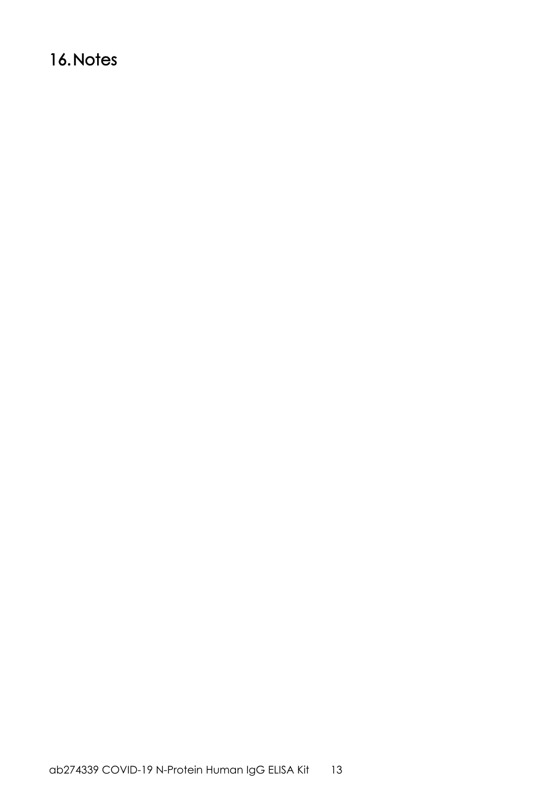## <span id="page-14-0"></span>**16.Notes**